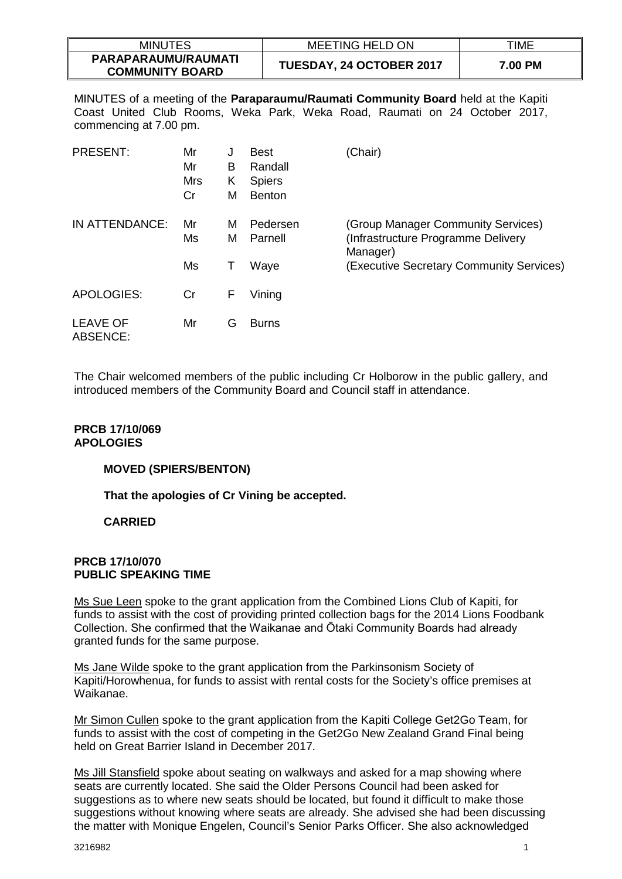| <b>MINUTES</b>                                | <b>MEETING HELD ON</b>   | TIME    |
|-----------------------------------------------|--------------------------|---------|
| PARAPARAUMU/RAUMATI<br><b>COMMUNITY BOARD</b> | TUESDAY, 24 OCTOBER 2017 | 7.00 PM |

MINUTES of a meeting of the **Paraparaumu/Raumati Community Board** held at the Kapiti Coast United Club Rooms, Weka Park, Weka Road, Raumati on 24 October 2017, commencing at 7.00 pm.

| <b>PRESENT:</b>             | Mr<br>Mr<br>Mrs<br>Cr | J<br>В<br>Κ<br>М | <b>Best</b><br>Randall<br><b>Spiers</b><br><b>Benton</b> | (Chair)                                                                              |
|-----------------------------|-----------------------|------------------|----------------------------------------------------------|--------------------------------------------------------------------------------------|
| IN ATTENDANCE:              | Mr<br>Ms              | M<br>м           | Pedersen<br>Parnell                                      | (Group Manager Community Services)<br>(Infrastructure Programme Delivery<br>Manager) |
|                             | Ms                    | T                | Waye                                                     | (Executive Secretary Community Services)                                             |
| <b>APOLOGIES:</b>           | Cr                    | F                | Vining                                                   |                                                                                      |
| <b>LEAVE OF</b><br>ABSENCE: | Mr                    | G                | <b>Burns</b>                                             |                                                                                      |

The Chair welcomed members of the public including Cr Holborow in the public gallery, and introduced members of the Community Board and Council staff in attendance.

# **PRCB 17/10/069 APOLOGIES**

### **MOVED (SPIERS/BENTON)**

**That the apologies of Cr Vining be accepted.** 

# **CARRIED**

### **PRCB 17/10/070 PUBLIC SPEAKING TIME**

Ms Sue Leen spoke to the grant application from the Combined Lions Club of Kapiti, for funds to assist with the cost of providing printed collection bags for the 2014 Lions Foodbank Collection. She confirmed that the Waikanae and Ōtaki Community Boards had already granted funds for the same purpose.

Ms Jane Wilde spoke to the grant application from the Parkinsonism Society of Kapiti/Horowhenua, for funds to assist with rental costs for the Society's office premises at Waikanae.

Mr Simon Cullen spoke to the grant application from the Kapiti College Get2Go Team, for funds to assist with the cost of competing in the Get2Go New Zealand Grand Final being held on Great Barrier Island in December 2017.

Ms Jill Stansfield spoke about seating on walkways and asked for a map showing where seats are currently located. She said the Older Persons Council had been asked for suggestions as to where new seats should be located, but found it difficult to make those suggestions without knowing where seats are already. She advised she had been discussing the matter with Monique Engelen, Council's Senior Parks Officer. She also acknowledged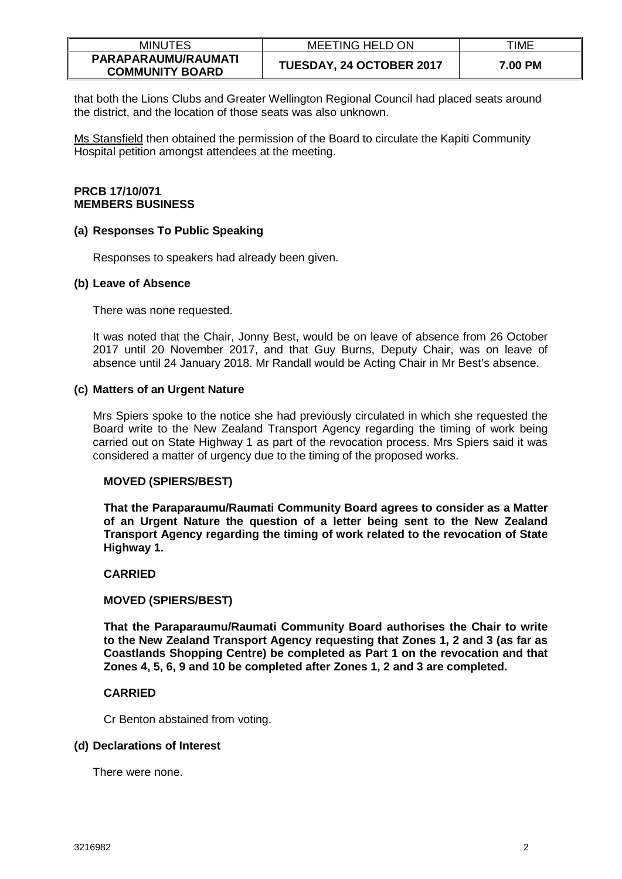| <b>MINUTES</b>                                | <b>MEETING HELD ON</b>          | TIME    |
|-----------------------------------------------|---------------------------------|---------|
| PARAPARAUMU/RAUMATI<br><b>COMMUNITY BOARD</b> | <b>TUESDAY, 24 OCTOBER 2017</b> | 7.00 PM |

that both the Lions Clubs and Greater Wellington Regional Council had placed seats around the district, and the location of those seats was also unknown.

Ms Stansfield then obtained the permission of the Board to circulate the Kapiti Community Hospital petition amongst attendees at the meeting.

## **PRCB 17/10/071 MEMBERS BUSINESS**

### **(a) Responses To Public Speaking**

Responses to speakers had already been given.

## **(b) Leave of Absence**

There was none requested.

It was noted that the Chair, Jonny Best, would be on leave of absence from 26 October 2017 until 20 November 2017, and that Guy Burns, Deputy Chair, was on leave of absence until 24 January 2018. Mr Randall would be Acting Chair in Mr Best's absence.

## **(c) Matters of an Urgent Nature**

Mrs Spiers spoke to the notice she had previously circulated in which she requested the Board write to the New Zealand Transport Agency regarding the timing of work being carried out on State Highway 1 as part of the revocation process. Mrs Spiers said it was considered a matter of urgency due to the timing of the proposed works.

# **MOVED (SPIERS/BEST)**

**That the Paraparaumu/Raumati Community Board agrees to consider as a Matter of an Urgent Nature the question of a letter being sent to the New Zealand Transport Agency regarding the timing of work related to the revocation of State Highway 1.** 

# **CARRIED**

# **MOVED (SPIERS/BEST)**

**That the Paraparaumu/Raumati Community Board authorises the Chair to write to the New Zealand Transport Agency requesting that Zones 1, 2 and 3 (as far as Coastlands Shopping Centre) be completed as Part 1 on the revocation and that Zones 4, 5, 6, 9 and 10 be completed after Zones 1, 2 and 3 are completed.** 

# **CARRIED**

Cr Benton abstained from voting.

### **(d) Declarations of Interest**

There were none.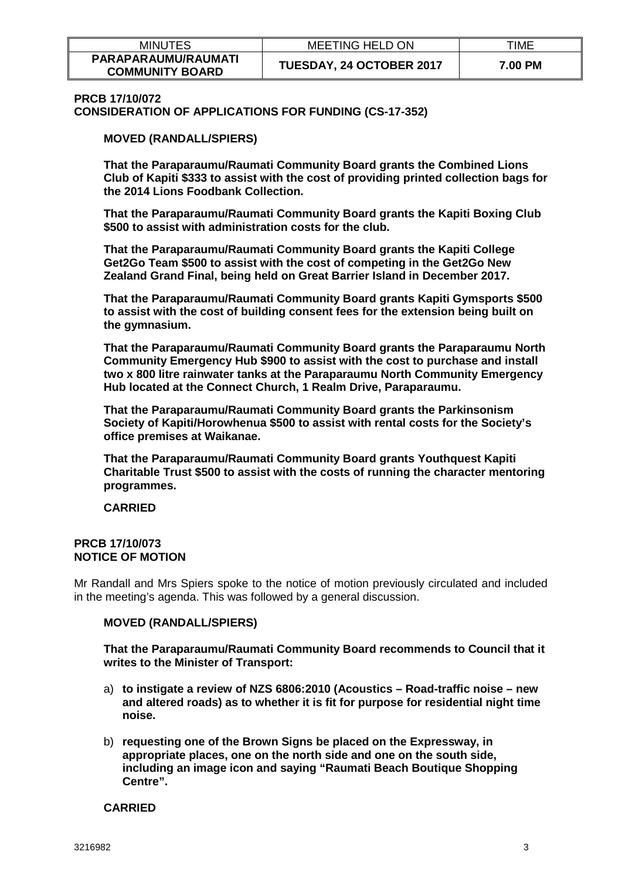| <b>MINUTES</b>                                | <b>MEETING HELD ON</b>          | TIME    |
|-----------------------------------------------|---------------------------------|---------|
| PARAPARAUMU/RAUMATI<br><b>COMMUNITY BOARD</b> | <b>TUESDAY, 24 OCTOBER 2017</b> | 7.00 PM |

#### **PRCB 17/10/072**

**CONSIDERATION OF APPLICATIONS FOR FUNDING (CS-17-352)**

**MOVED (RANDALL/SPIERS)**

**That the Paraparaumu/Raumati Community Board grants the Combined Lions Club of Kapiti \$333 to assist with the cost of providing printed collection bags for the 2014 Lions Foodbank Collection.**

**That the Paraparaumu/Raumati Community Board grants the Kapiti Boxing Club \$500 to assist with administration costs for the club.**

**That the Paraparaumu/Raumati Community Board grants the Kapiti College Get2Go Team \$500 to assist with the cost of competing in the Get2Go New Zealand Grand Final, being held on Great Barrier Island in December 2017.** 

**That the Paraparaumu/Raumati Community Board grants Kapiti Gymsports \$500 to assist with the cost of building consent fees for the extension being built on the gymnasium.**

**That the Paraparaumu/Raumati Community Board grants the Paraparaumu North Community Emergency Hub \$900 to assist with the cost to purchase and install two x 800 litre rainwater tanks at the Paraparaumu North Community Emergency Hub located at the Connect Church, 1 Realm Drive, Paraparaumu.** 

**That the Paraparaumu/Raumati Community Board grants the Parkinsonism Society of Kapiti/Horowhenua \$500 to assist with rental costs for the Society's office premises at Waikanae.** 

**That the Paraparaumu/Raumati Community Board grants Youthquest Kapiti Charitable Trust \$500 to assist with the costs of running the character mentoring programmes.**

**CARRIED**

### **PRCB 17/10/073 NOTICE OF MOTION**

Mr Randall and Mrs Spiers spoke to the notice of motion previously circulated and included in the meeting's agenda. This was followed by a general discussion.

### **MOVED (RANDALL/SPIERS)**

**That the Paraparaumu/Raumati Community Board recommends to Council that it writes to the Minister of Transport:** 

- a) **to instigate a review of NZS 6806:2010 (Acoustics – Road-traffic noise – new and altered roads) as to whether it is fit for purpose for residential night time noise.**
- b) **requesting one of the Brown Signs be placed on the Expressway, in appropriate places, one on the north side and one on the south side, including an image icon and saying "Raumati Beach Boutique Shopping Centre".**

**CARRIED**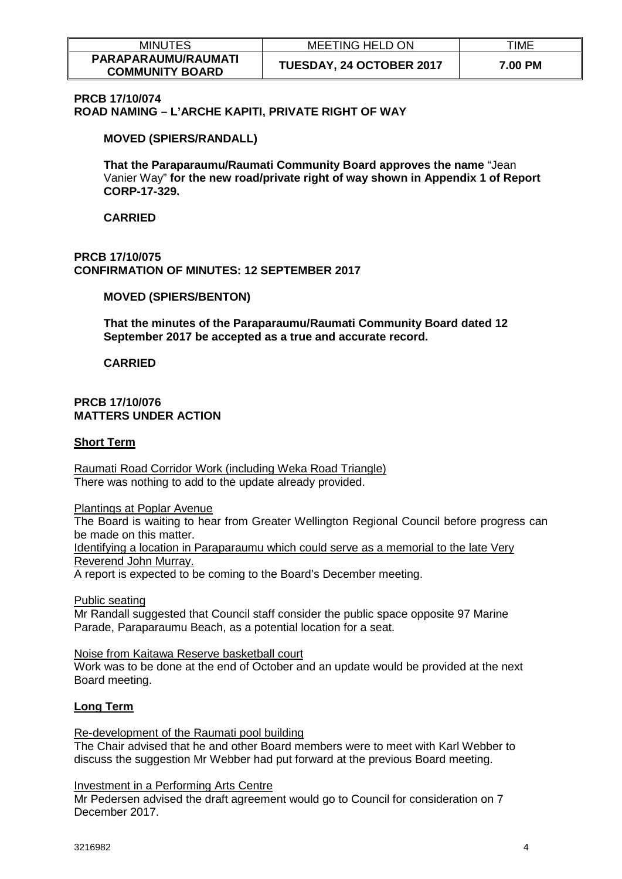| <b>MINUTES</b>                                | <b>MEETING HELD ON</b>          | TIME    |
|-----------------------------------------------|---------------------------------|---------|
| PARAPARAUMU/RAUMATI<br><b>COMMUNITY BOARD</b> | <b>TUESDAY, 24 OCTOBER 2017</b> | 7.00 PM |

## **PRCB 17/10/074**

**ROAD NAMING – L'ARCHE KAPITI, PRIVATE RIGHT OF WAY** 

#### **MOVED (SPIERS/RANDALL)**

**That the Paraparaumu/Raumati Community Board approves the name** "Jean Vanier Way" **for the new road/private right of way shown in Appendix 1 of Report CORP-17-329.**

**CARRIED**

## **PRCB 17/10/075 CONFIRMATION OF MINUTES: 12 SEPTEMBER 2017**

### **MOVED (SPIERS/BENTON)**

**That the minutes of the Paraparaumu/Raumati Community Board dated 12 September 2017 be accepted as a true and accurate record.** 

**CARRIED**

### **PRCB 17/10/076 MATTERS UNDER ACTION**

#### **Short Term**

Raumati Road Corridor Work (including Weka Road Triangle) There was nothing to add to the update already provided.

Plantings at Poplar Avenue

The Board is waiting to hear from Greater Wellington Regional Council before progress can be made on this matter.

Identifying a location in Paraparaumu which could serve as a memorial to the late Very Reverend John Murray.

A report is expected to be coming to the Board's December meeting.

Public seating

Mr Randall suggested that Council staff consider the public space opposite 97 Marine Parade, Paraparaumu Beach, as a potential location for a seat.

Noise from Kaitawa Reserve basketball court

Work was to be done at the end of October and an update would be provided at the next Board meeting.

### **Long Term**

Re-development of the Raumati pool building

The Chair advised that he and other Board members were to meet with Karl Webber to discuss the suggestion Mr Webber had put forward at the previous Board meeting.

Investment in a Performing Arts Centre

Mr Pedersen advised the draft agreement would go to Council for consideration on 7 December 2017.